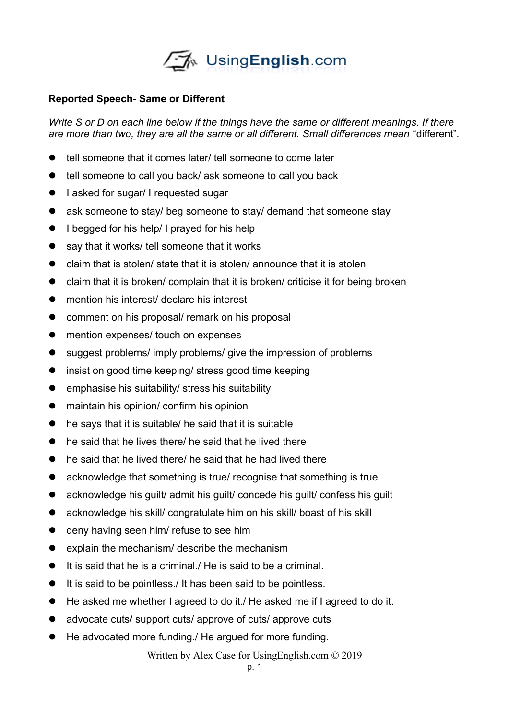

## **Reported Speech- Same or Different**

*Write S or D on each line below if the things have the same or different meanings. If there are more than two, they are all the same or all different. Small differences mean* "different"*.*

- tell someone that it comes later/ tell someone to come later
- tell someone to call you back/ ask someone to call you back
- **I** asked for sugar/ I requested sugar
- ask someone to stay/ beg someone to stay/ demand that someone stay
- I begged for his help/ I prayed for his help
- say that it works/ tell someone that it works
- $\bullet$  claim that is stolen/ state that it is stolen/ announce that it is stolen
- $\bullet$  claim that it is broken/ complain that it is broken/ criticise it for being broken
- mention his interest/ declare his interest
- **•** comment on his proposal/ remark on his proposal
- mention expenses/ touch on expenses
- suggest problems/ imply problems/ give the impression of problems
- insist on good time keeping/ stress good time keeping
- emphasise his suitability/ stress his suitability
- maintain his opinion/ confirm his opinion
- he says that it is suitable/ he said that it is suitable
- he said that he lives there/ he said that he lived there
- $\bullet$  he said that he lived there/ he said that he had lived there
- acknowledge that something is true/ recognise that something is true
- acknowledge his guilt/ admit his guilt/ concede his guilt/ confess his guilt
- acknowledge his skill/ congratulate him on his skill/ boast of his skill
- $\bullet$  deny having seen him/ refuse to see him
- $\bullet$  explain the mechanism/ describe the mechanism
- It is said that he is a criminal./ He is said to be a criminal.
- $\bullet$  It is said to be pointless./ It has been said to be pointless.
- He asked me whether I agreed to do it./ He asked me if I agreed to do it.
- advocate cuts/ support cuts/ approve of cuts/ approve cuts
- He advocated more funding./ He argued for more funding.

Written by Alex Case for UsingEnglish.com © 2019